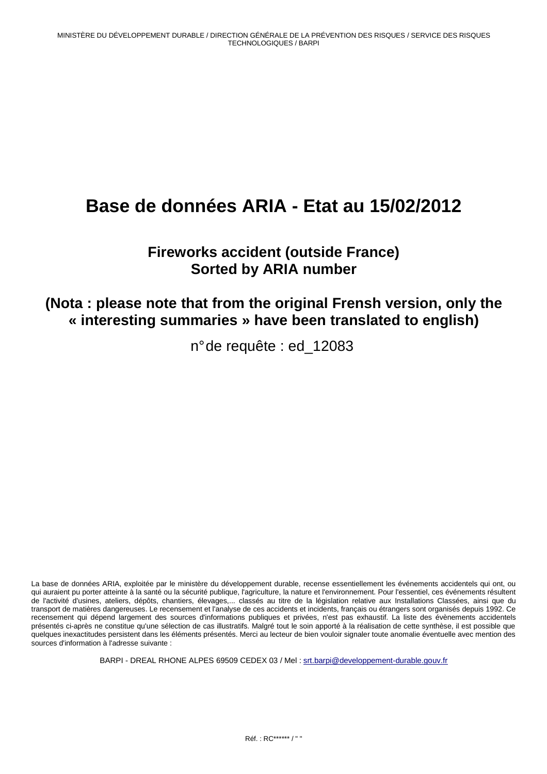# **Base de données ARIA - Etat au 15/02/2012**

## **Fireworks accident (outside France) Sorted by ARIA number**

## **(Nota : please note that from the original Frensh version, only the « interesting summaries » have been translated to english)**

n° de requête : ed\_12083

La base de données ARIA, exploitée par le ministère du développement durable, recense essentiellement les événements accidentels qui ont, ou qui auraient pu porter atteinte à la santé ou la sécurité publique, l'agriculture, la nature et l'environnement. Pour l'essentiel, ces événements résultent de l'activité d'usines, ateliers, dépôts, chantiers, élevages,... classés au titre de la législation relative aux Installations Classées, ainsi que du transport de matières dangereuses. Le recensement et l'analyse de ces accidents et incidents, français ou étrangers sont organisés depuis 1992. Ce recensement qui dépend largement des sources d'informations publiques et privées, n'est pas exhaustif. La liste des évènements accidentels présentés ci-après ne constitue qu'une sélection de cas illustratifs. Malgré tout le soin apporté à la réalisation de cette synthèse, il est possible que quelques inexactitudes persistent dans les éléments présentés. Merci au lecteur de bien vouloir signaler toute anomalie éventuelle avec mention des sources d'information à l'adresse suivante :

BARPI - DREAL RHONE ALPES 69509 CEDEX 03 / Mel : srt.barpi@developpement-durable.gouv.fr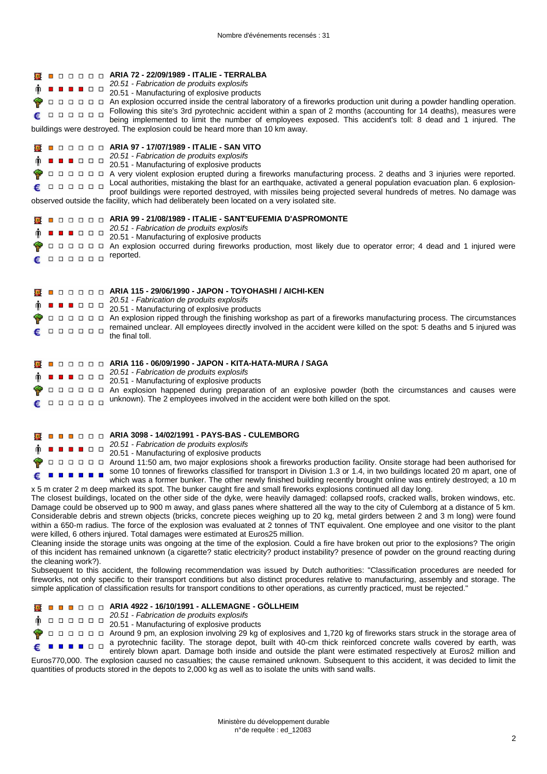| <b>The Second</b><br><b>.</b><br>000000                                         | □□□□□ ARIA 72 - 22/09/1989 - ITALIE - TERRALBA<br>20.51 - Fabrication de produits explosifs<br>20.51 - Manufacturing of explosive products<br>□ □ □ □ □ An explosion occurred inside the central laboratory of a fireworks production unit during a powder handling operation.<br>Following this site's 3rd pyrotechnic accident within a span of 2 months (accounting for 14 deaths), measures were<br>being implemented to limit the number of employees exposed. This accident's toll: 8 dead and 1 injured. The<br>buildings were destroyed. The explosion could be heard more than 10 km away.                                                                                                                                                                                                                                                                                                                                                                                                                                                                                                                                                                                                                                                                                                                                                                                                                                                                                                                                                                                                                                                                                                                                                                                                                                                                                                                                                                                                                                          |
|---------------------------------------------------------------------------------|----------------------------------------------------------------------------------------------------------------------------------------------------------------------------------------------------------------------------------------------------------------------------------------------------------------------------------------------------------------------------------------------------------------------------------------------------------------------------------------------------------------------------------------------------------------------------------------------------------------------------------------------------------------------------------------------------------------------------------------------------------------------------------------------------------------------------------------------------------------------------------------------------------------------------------------------------------------------------------------------------------------------------------------------------------------------------------------------------------------------------------------------------------------------------------------------------------------------------------------------------------------------------------------------------------------------------------------------------------------------------------------------------------------------------------------------------------------------------------------------------------------------------------------------------------------------------------------------------------------------------------------------------------------------------------------------------------------------------------------------------------------------------------------------------------------------------------------------------------------------------------------------------------------------------------------------------------------------------------------------------------------------------------------------|
| <b>. .</b><br>000000<br>. <del>.</del><br>.<br>. <del>.</del><br>.              | ■ □ □ □ □ △ ARIA 97 - 17/07/1989 - ITALIE - SAN VITO<br>20.51 - Fabrication de produits explosifs<br>20.51 - Manufacturing of explosive products<br>A very violent explosion erupted during a fireworks manufacturing process. 2 deaths and 3 injuries were reported.<br>Local authorities, mistaking the blast for an earthquake, activated a general population evacuation plan. 6 explosion-<br>proof buildings were reported destroyed, with missiles being projected several hundreds of metres. No damage was<br>observed outside the facility, which had deliberately been located on a very isolated site.<br><b>D D D D ARIA 99 - 21/08/1989 - ITALIE - SANT'EUFEMIA D'ASPROMONTE</b><br>20.51 - Fabrication de produits explosifs<br>20.51 - Manufacturing of explosive products<br>An explosion occurred during fireworks production, most likely due to operator error; 4 dead and 1 injured were<br>reported.                                                                                                                                                                                                                                                                                                                                                                                                                                                                                                                                                                                                                                                                                                                                                                                                                                                                                                                                                                                                                                                                                                                   |
| .<br><b>. .</b><br>000000<br>000000                                             | ARIA 115 - 29/06/1990 - JAPON - TOYOHASHI / AICHI-KEN<br>20.51 - Fabrication de produits explosifs<br>20.51 - Manufacturing of explosive products<br>An explosion ripped through the finishing workshop as part of a fireworks manufacturing process. The circumstances<br>remained unclear. All employees directly involved in the accident were killed on the spot: 5 deaths and 5 injured was<br>the final toll.                                                                                                                                                                                                                                                                                                                                                                                                                                                                                                                                                                                                                                                                                                                                                                                                                                                                                                                                                                                                                                                                                                                                                                                                                                                                                                                                                                                                                                                                                                                                                                                                                          |
| 8 D D D<br>000000<br>,,,,,,,                                                    | □ □ □ □ ARIA 116 - 06/09/1990 - JAPON - KITA-HATA-MURA / SAGA<br>20.51 - Fabrication de produits explosifs<br>20.51 - Manufacturing of explosive products<br>An explosion happened during preparation of an explosive powder (both the circumstances and causes were<br>unknown). The 2 employees involved in the accident were both killed on the spot.                                                                                                                                                                                                                                                                                                                                                                                                                                                                                                                                                                                                                                                                                                                                                                                                                                                                                                                                                                                                                                                                                                                                                                                                                                                                                                                                                                                                                                                                                                                                                                                                                                                                                     |
| <b>D</b> D D D<br>.<br>- 13<br>$\Box$ $\Box$<br>اسا است<br>the cleaning work?). | ARIA 3098 - 14/02/1991 - PAYS-BAS - CULEMBORG<br>20.51 - Fabrication de produits explosifs<br>20.51 - Manufacturing of explosive products<br>Around 11:50 am, two major explosions shook a fireworks production facility. Onsite storage had been authorised for<br>some 10 tonnes of fireworks classified for transport in Division 1.3 or 1.4, in two buildings located 20 m apart, one of<br>which was a former bunker. The other newly finished building recently brought online was entirely destroyed; a 10 m<br>x 5 m crater 2 m deep marked its spot. The bunker caught fire and small fireworks explosions continued all day long.<br>The closest buildings, located on the other side of the dyke, were heavily damaged: collapsed roofs, cracked walls, broken windows, etc.<br>Damage could be observed up to 900 m away, and glass panes where shattered all the way to the city of Culemborg at a distance of 5 km.<br>Considerable debris and strewn objects (bricks, concrete pieces weighing up to 20 kg, metal girders between 2 and 3 m long) were found<br>within a 650-m radius. The force of the explosion was evaluated at 2 tonnes of TNT equivalent. One employee and one visitor to the plant<br>were killed, 6 others injured. Total damages were estimated at Euros25 million.<br>Cleaning inside the storage units was ongoing at the time of the explosion. Could a fire have broken out prior to the explosions? The origin<br>of this incident has remained unknown (a cigarette? static electricity? product instability? presence of powder on the ground reacting during<br>Subsequent to this accident, the following recommendation was issued by Dutch authorities: "Classification procedures are needed for<br>fireworks, not only specific to their transport conditions but also distinct procedures relative to manufacturing, assembly and storage. The<br>simple application of classification results for transport conditions to other operations, as currently practiced, must be rejected." |



 $\Box$   $\Box$   $\Box$   $\Box$  Around 9 pm, an explosion involving 29 kg of explosives and 1,720 kg of fireworks stars struck in the storage area of a pyrotechnic facility. The storage depot, built with 40-cm thick reinforced concrete walls covered by earth, was € entirely blown apart. Damage both inside and outside the plant were estimated respectively at Euros2 million and Euros770,000. The explosion caused no casualties; the cause remained unknown. Subsequent to this accident, it was decided to limit the quantities of products stored in the depots to 2,000 kg as well as to isolate the units with sand walls.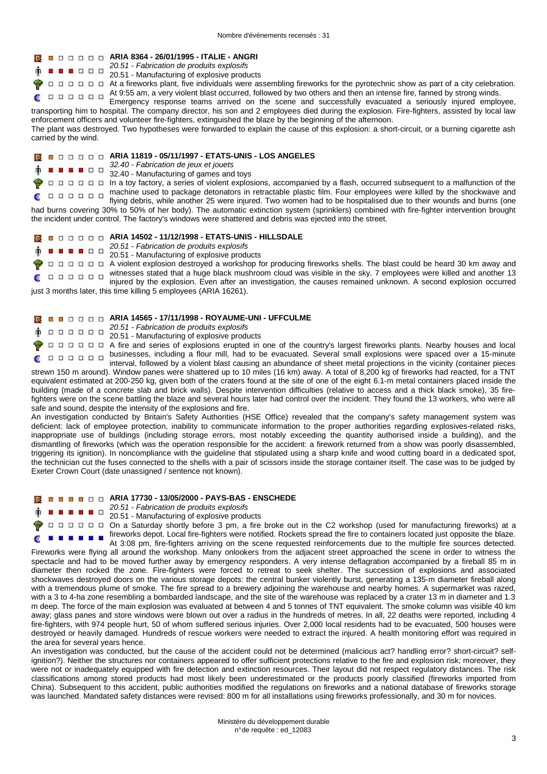#### **ARIA 8364 - 26/01/1995 - ITALIE - ANGRI**

20.51 - Fabrication de produits explosifs **. . .** . . .

20.51 - Manufacturing of explosive products

□ □ □ At a fireworks plant, five individuals were assembling fireworks for the pyrotechnic show as part of a city celebration. At 9:55 am, a very violent blast occurred, followed by two others and then an intense fire, fanned by strong winds. €

Emergency response teams arrived on the scene and successfully evacuated a seriously injured employee, transporting him to hospital. The company director, his son and 2 employees died during the explosion. Fire-fighters, assisted by local law enforcement officers and volunteer fire-fighters, extinguished the blaze by the beginning of the afternoon.

The plant was destroyed. Two hypotheses were forwarded to explain the cause of this explosion: a short-circuit, or a burning cigarette ash carried by the wind.

### **ARIA 11819 - 05/11/1997 - ETATS-UNIS - LOS ANGELES**

32.40 - Fabrication de jeux et jouets . . . . . .

32.40 - Manufacturing of games and toys

In a toy factory, a series of violent explosions, accompanied by a flash, occurred subsequent to a malfunction of the machine used to package detonators in retractable plastic film. Four employees were killed by the shockwave and

 $\begin{array}{cccccccccccccc} \square & \square & \square & \square & \square & \square & \square \end{array}$ flying debris, while another 25 were injured. Two women had to be hospitalised due to their wounds and burns (one had burns covering 30% to 50% of her body). The automatic extinction system (sprinklers) combined with fire-fighter intervention brought the incident under control. The factory's windows were shattered and debris was ejected into the street.

#### **ARIA 14502 - 11/12/1998 - ETATS-UNIS - HILLSDALE Ixt**

20.51 - Fabrication de produits explosifs  $\begin{array}{c|c|c|c|c|c} \hline \textbf{a} & \textbf{b} & \textbf{c} & \textbf{c} \\ \hline \textbf{b} & \textbf{b} & \textbf{c} & \textbf{c} \\ \hline \end{array}$ 

20.51 - Manufacturing of explosive products

A violent explosion destroyed a workshop for producing fireworks shells. The blast could be heard 30 km away and witnesses stated that a huge black mushroom cloud was visible in the sky. 7 employees were killed and another 13  $\begin{array}{cccccccccccccc} \Box & \Box & \Box & \Box & \Box & \Box & \Box \end{array}$ £ injured by the explosion. Even after an investigation, the causes remained unknown. A second explosion occurred

just 3 months later, this time killing 5 employees (ARIA 16261).

#### **ARIA 14565 - 17/11/1998 - ROYAUME-UNI - UFFCULME**

**20.51 - Fabrication de produits explosifs**<br>20.51 - Fabrication de produits explosifs

20.51 - Manufacturing of explosive products

A fire and series of explosions erupted in one of the country's largest fireworks plants. Nearby houses and local businesses, including a flour mill, had to be evacuated. Several small explosions were spaced over a 15-minute interval, followed by a violent blast causing an abundance of sheet metal projections in the vicinity (container pieces

strewn 150 m around). Window panes were shattered up to 10 miles (16 km) away. A total of 8,200 kg of fireworks had reacted, for a TNT equivalent estimated at 200-250 kg, given both of the craters found at the site of one of the eight 6.1-m metal containers placed inside the building (made of a concrete slab and brick walls). Despite intervention difficulties (relative to access and a thick black smoke), 35 firefighters were on the scene battling the blaze and several hours later had control over the incident. They found the 13 workers, who were all safe and sound, despite the intensity of the explosions and fire.

An investigation conducted by Britain's Safety Authorities (HSE Office) revealed that the company's safety management system was deficient: lack of employee protection, inability to communicate information to the proper authorities regarding explosives-related risks, inappropriate use of buildings (including storage errors, most notably exceeding the quantity authorised inside a building), and the dismantling of fireworks (which was the operation responsible for the accident: a firework returned from a show was poorly disassembled, triggering its ignition). In noncompliance with the guideline that stipulated using a sharp knife and wood cutting board in a dedicated spot, the technician cut the fuses connected to the shells with a pair of scissors inside the storage container itself. The case was to be judged by Exeter Crown Court (date unassigned / sentence not known).

#### **ARIA 17730 - 13/05/2000 - PAYS-BAS - ENSCHEDE**

- 20.51 Fabrication de produits explosifs . . . . .
	- 20.51 Manufacturing of explosive products

On a Saturday shortly before 3 pm, a fire broke out in the C2 workshop (used for manufacturing fireworks) at a fireworks depot. Local fire-fighters were notified. Rockets spread the fire to containers located just opposite the blaze. ------

At 3:08 pm, fire-fighters arriving on the scene requested reinforcements due to the multiple fire sources detected. Fireworks were flying all around the workshop. Many onlookers from the adjacent street approached the scene in order to witness the spectacle and had to be moved further away by emergency responders. A very intense deflagration accompanied by a fireball 85 m in diameter then rocked the zone. Fire-fighters were forced to retreat to seek shelter. The succession of explosions and associated shockwaves destroyed doors on the various storage depots: the central bunker violently burst, generating a 135-m diameter fireball along with a tremendous plume of smoke. The fire spread to a brewery adjoining the warehouse and nearby homes. A supermarket was razed, with a 3 to 4-ha zone resembling a bombarded landscape, and the site of the warehouse was replaced by a crater 13 m in diameter and 1.3 m deep. The force of the main explosion was evaluated at between 4 and 5 tonnes of TNT equivalent. The smoke column was visible 40 km away; glass panes and store windows were blown out over a radius in the hundreds of metres. In all, 22 deaths were reported, including 4 fire-fighters, with 974 people hurt, 50 of whom suffered serious injuries. Over 2,000 local residents had to be evacuated, 500 houses were destroyed or heavily damaged. Hundreds of rescue workers were needed to extract the injured. A health monitoring effort was required in the area for several years hence.

An investigation was conducted, but the cause of the accident could not be determined (malicious act? handling error? short-circuit? selfignition?). Neither the structures nor containers appeared to offer sufficient protections relative to the fire and explosion risk; moreover, they were not or inadequately equipped with fire detection and extinction resources. Their layout did not respect regulatory distances. The risk classifications among stored products had most likely been underestimated or the products poorly classified (fireworks imported from China). Subsequent to this accident, public authorities modified the regulations on fireworks and a national database of fireworks storage was launched. Mandated safety distances were revised: 800 m for all installations using fireworks professionally, and 30 m for novices.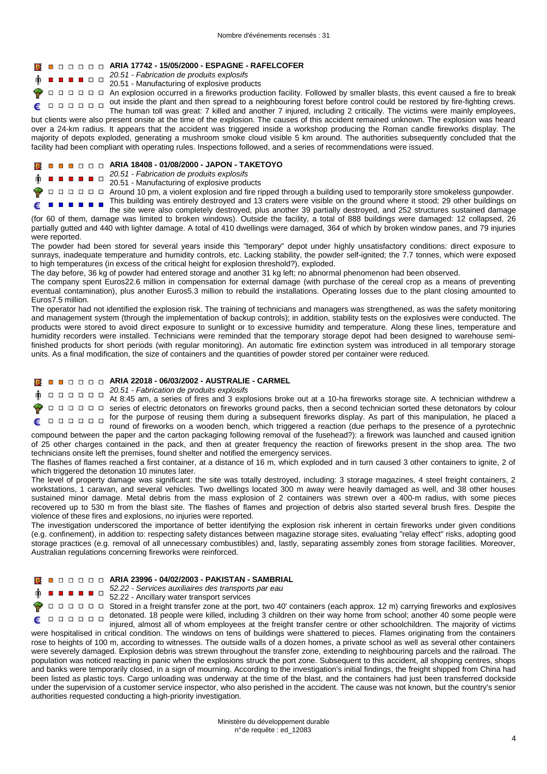#### **ARIA 17742 - 15/05/2000 - ESPAGNE - RAFELCOFER**

20.51 - Fabrication de produits explosifs **BBDD** 

#### 20.51 - Manufacturing of explosive products

 $\Box$   $\Box$   $\Box$   $\Box$  An explosion occurred in a fireworks production facility. Followed by smaller blasts, this event caused a fire to break out inside the plant and then spread to a neighbouring forest before control could be restored by fire-fighting crews.

The human toll was great: 7 killed and another 7 injured, including 2 critically. The victims were mainly employees, but clients were also present onsite at the time of the explosion. The causes of this accident remained unknown. The explosion was heard over a 24-km radius. It appears that the accident was triggered inside a workshop producing the Roman candle fireworks display. The majority of depots exploded, generating a mushroom smoke cloud visible 5 km around. The authorities subsequently concluded that the

#### **ARIA 18408 - 01/08/2000 - JAPON - TAKETOYO**

### 20.51 - Fabrication de produits explosifs<br>■■■□○○○□ 20.51 - Manufacturing of explosive products

 $\Box$   $\Box$   $\Box$   $\Box$  Around 10 pm, a violent explosion and fire ripped through a building used to temporarily store smokeless gunpowder.

This building was entirely destroyed and 13 craters were visible on the ground where it stood; 29 other buildings on 

the site were also completely destroyed, plus another 39 partially destroyed, and 252 structures sustained damage (for 60 of them, damage was limited to broken windows). Outside the facility, a total of 888 buildings were damaged: 12 collapsed, 26 partially gutted and 440 with lighter damage. A total of 410 dwellings were damaged, 364 of which by broken window panes, and 79 injuries were reported.

The powder had been stored for several years inside this "temporary" depot under highly unsatisfactory conditions: direct exposure to sunrays, inadequate temperature and humidity controls, etc. Lacking stability, the powder self-ignited; the 7.7 tonnes, which were exposed to high temperatures (in excess of the critical height for explosion threshold?), exploded.

The day before, 36 kg of powder had entered storage and another 31 kg left; no abnormal phenomenon had been observed.

facility had been compliant with operating rules. Inspections followed, and a series of recommendations were issued.

The company spent Euros22.6 million in compensation for external damage (with purchase of the cereal crop as a means of preventing eventual contamination), plus another Euros5.3 million to rebuild the installations. Operating losses due to the plant closing amounted to Euros7.5 million.

The operator had not identified the explosion risk. The training of technicians and managers was strengthened, as was the safety monitoring and management system (through the implementation of backup controls); in addition, stability tests on the explosives were conducted. The products were stored to avoid direct exposure to sunlight or to excessive humidity and temperature. Along these lines, temperature and humidity recorders were installed. Technicians were reminded that the temporary storage depot had been designed to warehouse semifinished products for short periods (with regular monitoring). An automatic fire extinction system was introduced in all temporary storage units. As a final modification, the size of containers and the quantities of powder stored per container were reduced.

#### **ARIA 22018 - 06/03/2002 - AUSTRALIE - CARMEL**

20.51 - Fabrication de produits explosifs 

At 8:45 am, a series of fires and 3 explosions broke out at a 10-ha fireworks storage site. A technician withdrew a series of electric detonators on fireworks ground packs, then a second technician sorted these detonators by colour for the purpose of reusing them during a subsequent fireworks display. As part of this manipulation, he placed a  $\begin{array}{cccccccccccccc} \Box & \Box & \Box & \Box & \Box & \Box & \Box \end{array}$ round of fireworks on a wooden bench, which triggered a reaction (due perhaps to the presence of a pyrotechnic

compound between the paper and the carton packaging following removal of the fusehead?): a firework was launched and caused ignition of 25 other charges contained in the pack, and then at greater frequency the reaction of fireworks present in the shop area. The two technicians onsite left the premises, found shelter and notified the emergency services.

The flashes of flames reached a first container, at a distance of 16 m, which exploded and in turn caused 3 other containers to ignite, 2 of which triggered the detonation 10 minutes later.

The level of property damage was significant: the site was totally destroyed, including: 3 storage magazines, 4 steel freight containers, 2 workstations, 1 caravan, and several vehicles. Two dwellings located 300 m away were heavily damaged as well, and 38 other houses sustained minor damage. Metal debris from the mass explosion of 2 containers was strewn over a 400-m radius, with some pieces recovered up to 530 m from the blast site. The flashes of flames and projection of debris also started several brush fires. Despite the violence of these fires and explosions, no injuries were reported.

The investigation underscored the importance of better identifying the explosion risk inherent in certain fireworks under given conditions (e.g. confinement), in addition to: respecting safety distances between magazine storage sites, evaluating "relay effect" risks, adopting good storage practices (e.g. removal of all unnecessary combustibles) and, lastly, separating assembly zones from storage facilities. Moreover, Australian regulations concerning fireworks were reinforced.

#### **ARIA 23996 - 04/02/2003 - PAKISTAN - SAMBRIAL**

 $52.22 -$ Services auxiliaires des transports par eau

52.22 - Ancillary water transport services

Ē

 $\Box$   $\Box$   $\Box$   $\Box$  Stored in a freight transfer zone at the port, two 40' containers (each approx. 12 m) carrying fireworks and explosives detonated. 18 people were killed, including 3 children on their way home from school; another 40 some people were 

injured, almost all of whom employees at the freight transfer centre or other schoolchildren. The majority of victims were hospitalised in critical condition. The windows on tens of buildings were shattered to pieces. Flames originating from the containers rose to heights of 100 m, according to witnesses. The outside walls of a dozen homes, a private school as well as several other containers were severely damaged. Explosion debris was strewn throughout the transfer zone, extending to neighbouring parcels and the railroad. The population was noticed reacting in panic when the explosions struck the port zone. Subsequent to this accident, all shopping centres, shops and banks were temporarily closed, in a sign of mourning. According to the investigation's initial findings, the freight shipped from China had been listed as plastic toys. Cargo unloading was underway at the time of the blast, and the containers had just been transferred dockside under the supervision of a customer service inspector, who also perished in the accident. The cause was not known, but the country's senior authorities requested conducting a high-priority investigation.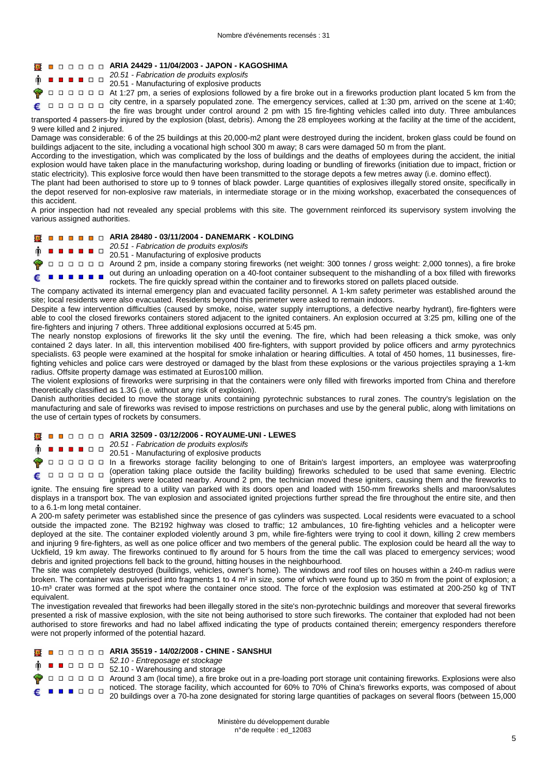#### **ARIA 24429 - 11/04/2003 - JAPON - KAGOSHIMA**

20.51 - Fabrication de produits explosifs  $\begin{array}{c|c|c|c|c} \hline \textbf{a} & \textbf{a} & \textbf{b} & \textbf{c} \end{array}$ 

#### 20.51 - Manufacturing of explosive products

At 1:27 pm, a series of explosions followed by a fire broke out in a fireworks production plant located 5 km from the city centre, in a sparsely populated zone. The emergency services, called at 1:30 pm, arrived on the scene at 1:40;

the fire was brought under control around 2 pm with 15 fire-fighting vehicles called into duty. Three ambulances transported 4 passers-by injured by the explosion (blast, debris). Among the 28 employees working at the facility at the time of the accident, 9 were killed and 2 injured.

Damage was considerable: 6 of the 25 buildings at this 20,000-m2 plant were destroyed during the incident, broken glass could be found on buildings adjacent to the site, including a vocational high school 300 m away; 8 cars were damaged 50 m from the plant.

According to the investigation, which was complicated by the loss of buildings and the deaths of employees during the accident, the initial explosion would have taken place in the manufacturing workshop, during loading or bundling of fireworks (initiation due to impact, friction or static electricity). This explosive force would then have been transmitted to the storage depots a few metres away (i.e. domino effect).

The plant had been authorised to store up to 9 tonnes of black powder. Large quantities of explosives illegally stored onsite, specifically in the depot reserved for non-explosive raw materials, in intermediate storage or in the mixing workshop, exacerbated the consequences of this accident.

A prior inspection had not revealed any special problems with this site. The government reinforced its supervisory system involving the various assigned authorities.

#### **ARIA 28480 - 03/11/2004 - DANEMARK - KOLDING Ixt**

20.51 - Fabrication de produits explosifs  $\blacksquare$ 

20.51 - Manufacturing of explosive products

Around 2 pm, inside a company storing fireworks (net weight: 300 tonnes / gross weight: 2,000 tonnes), a fire broke out during an unloading operation on a 40-foot container subsequent to the mishandling of a box filled with fireworks  $\blacksquare$ rockets. The fire quickly spread within the container and to fireworks stored on pallets placed outside.

The company activated its internal emergency plan and evacuated facility personnel. A 1-km safety perimeter was established around the site; local residents were also evacuated. Residents beyond this perimeter were asked to remain indoors.

Despite a few intervention difficulties (caused by smoke, noise, water supply interruptions, a defective nearby hydrant), fire-fighters were able to cool the closed fireworks containers stored adjacent to the ignited containers. An explosion occurred at 3:25 pm, killing one of the fire-fighters and injuring 7 others. Three additional explosions occurred at 5:45 pm.

The nearly nonstop explosions of fireworks lit the sky until the evening. The fire, which had been releasing a thick smoke, was only contained 2 days later. In all, this intervention mobilised 400 fire-fighters, with support provided by police officers and army pyrotechnics specialists. 63 people were examined at the hospital for smoke inhalation or hearing difficulties. A total of 450 homes, 11 businesses, firefighting vehicles and police cars were destroyed or damaged by the blast from these explosions or the various projectiles spraying a 1-km radius. Offsite property damage was estimated at Euros100 million.

The violent explosions of fireworks were surprising in that the containers were only filled with fireworks imported from China and therefore theoretically classified as 1.3G (i.e. without any risk of explosion).

Danish authorities decided to move the storage units containing pyrotechnic substances to rural zones. The country's legislation on the manufacturing and sale of fireworks was revised to impose restrictions on purchases and use by the general public, along with limitations on the use of certain types of rockets by consumers.

#### **ARIA 32509 - 03/12/2006 - ROYAUME-UNI - LEWES**

 $20.51 -$ Fabrication de produits explosifs

20.51 - Manufacturing of explosive products

In a fireworks storage facility belonging to one of Britain's largest importers, an employee was waterproofing (operation taking place outside the facility building) fireworks scheduled to be used that same evening. Electric igniters were located nearby. Around 2 pm, the technician moved these igniters, causing them and the fireworks to

ignite. The ensuing fire spread to a utility van parked with its doors open and loaded with 150-mm fireworks shells and maroon/salutes displays in a transport box. The van explosion and associated ignited projections further spread the fire throughout the entire site, and then to a 6.1-m long metal container.

A 200-m safety perimeter was established since the presence of gas cylinders was suspected. Local residents were evacuated to a school outside the impacted zone. The B2192 highway was closed to traffic; 12 ambulances, 10 fire-fighting vehicles and a helicopter were deployed at the site. The container exploded violently around 3 pm, while fire-fighters were trying to cool it down, killing 2 crew members and injuring 9 fire-fighters, as well as one police officer and two members of the general public. The explosion could be heard all the way to Uckfield, 19 km away. The fireworks continued to fly around for 5 hours from the time the call was placed to emergency services; wood debris and ignited projections fell back to the ground, hitting houses in the neighbourhood.

The site was completely destroyed (buildings, vehicles, owner's home). The windows and roof tiles on houses within a 240-m radius were broken. The container was pulverised into fragments 1 to 4 m<sup>2</sup> in size, some of which were found up to 350 m from the point of explosion; a 10-m³ crater was formed at the spot where the container once stood. The force of the explosion was estimated at 200-250 kg of TNT equivalent.

The investigation revealed that fireworks had been illegally stored in the site's non-pyrotechnic buildings and moreover that several fireworks presented a risk of massive explosion, with the site not being authorised to store such fireworks. The container that exploded had not been authorised to store fireworks and had no label affixed indicating the type of products contained therein; emergency responders therefore were not properly informed of the potential hazard.

#### **ARIA 35519 - 14/02/2008 - CHINE - SANSHUI**

- 52.10 Entreposage et stockage
- 52.10 Warehousing and storage
- $\Box$   $\Box$   $\Box$   $\Box$   $\Box$  Around 3 am (local time), a fire broke out in a pre-loading port storage unit containing fireworks. Explosions were also noticed. The storage facility, which accounted for 60% to 70% of China's fireworks exports, was composed of about 20 buildings over a 70-ha zone designated for storing large quantities of packages on several floors (between 15,000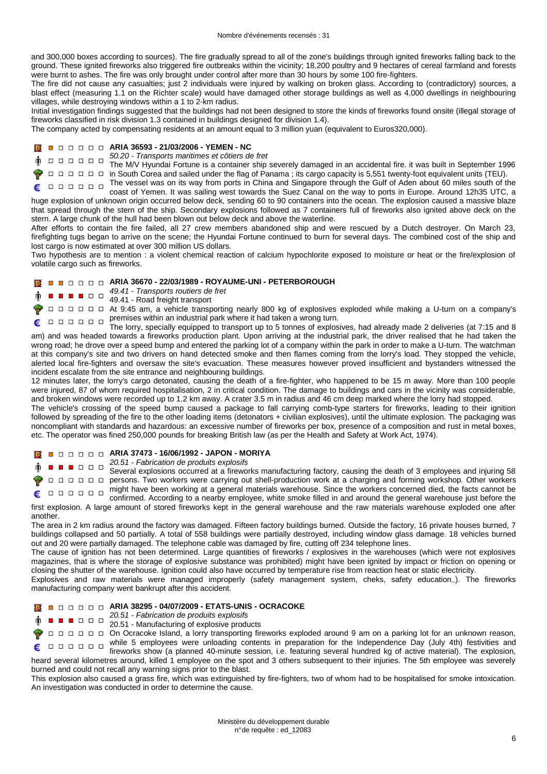and 300,000 boxes according to sources). The fire gradually spread to all of the zone's buildings through ignited fireworks falling back to the ground. These ignited fireworks also triggered fire outbreaks within the vicinity; 18,200 poultry and 9 hectares of cereal farmland and forests were burnt to ashes. The fire was only brought under control after more than 30 hours by some 100 fire-fighters.

The fire did not cause any casualties; just 2 individuals were injured by walking on broken glass. According to (contradictory) sources, a blast effect (measuring 1.1 on the Richter scale) would have damaged other storage buildings as well as 4,000 dwellings in neighbouring villages, while destroying windows within a 1 to 2-km radius.

Initial investigation findings suggested that the buildings had not been designed to store the kinds of fireworks found onsite (illegal storage of fireworks classified in risk division 1.3 contained in buildings designed for division 1.4).

The company acted by compensating residents at an amount equal to 3 million yuan (equivalent to Euros320,000).

#### **ARIA 36593 - 21/03/2006 - YEMEN - NC**

50.20 - Transports maritimes et côtiers de fret ò.

The M/V Hyundai Fortune is a container ship severely damaged in an accidental fire. it was built in September 1996<br>The M/V Hyundai Fortune is a container ship severely damaged in an accidental fire. it was built in Septe

in South Corea and sailed under the flag of Panama ; its cargo capacity is 5,551 twenty-foot equivalent units (TEU).

The vessel was on its way from ports in China and Singapore through the Gulf of Aden about 60 miles south of the  $\begin{array}{cccccccccccccc} \Box & \Box & \Box & \Box & \Box & \Box & \Box \end{array}$ coast of Yemen. It was sailing west towards the Suez Canal on the way to ports in Europe. Around 12h35 UTC, a huge explosion of unknown origin occurred below deck, sending 60 to 90 containers into the ocean. The explosion caused a massive blaze that spread through the stern of the ship. Secondary explosions followed as 7 containers full of fireworks also ignited above deck on the stern. A large chunk of the hull had been blown out below deck and above the waterline.

After efforts to contain the fire failed, all 27 crew members abandoned ship and were rescued by a Dutch destroyer. On March 23, firefighting tugs began to arrive on the scene; the Hyundai Fortune continued to burn for several days. The combined cost of the ship and lost cargo is now estimated at over 300 million US dollars.

Two hypothesis are to mention : a violent chemical reaction of calcium hypochlorite exposed to moisture or heat or the fire/explosion of volatile cargo such as fireworks.

## **ARIA 36670 - 22/03/1989 - ROYAUME-UNI - PETERBOROUGH**

- 49.41 Transports routiers de fret
- $\blacksquare$   $\blacksquare$   $\blacksquare$   $\square$   $\square$   $\blacksquare$   $\blacksquare$   $\blacksquare$   $\blacksquare$   $\blacksquare$   $\blacksquare$   $\blacksquare$   $\blacksquare$   $\blacksquare$   $\blacksquare$   $\blacksquare$   $\blacksquare$   $\blacksquare$   $\blacksquare$   $\blacksquare$   $\blacksquare$   $\blacksquare$   $\blacksquare$   $\blacksquare$   $\blacksquare$   $\blacksquare$   $\blacksquare$   $\blacksquare$   $\blacksquare$   $\blacksquare$   $\blacksquare$   $\blacksquare$

At 9:45 am, a vehicle transporting nearly 800 kg of explosives exploded while making a U-turn on a company's premises within an industrial park where it had taken a wrong turn.

The lorry, specially equipped to transport up to 5 tonnes of explosives, had already made 2 deliveries (at 7:15 and 8 am) and was headed towards a fireworks production plant. Upon arriving at the industrial park, the driver realised that he had taken the wrong road; he drove over a speed bump and entered the parking lot of a company within the park in order to make a U-turn. The watchman at this company's site and two drivers on hand detected smoke and then flames coming from the lorry's load. They stopped the vehicle, alerted local fire-fighters and oversaw the site's evacuation. These measures however proved insufficient and bystanders witnessed the incident escalate from the site entrance and neighbouring buildings.

12 minutes later, the lorry's cargo detonated, causing the death of a fire-fighter, who happened to be 15 m away. More than 100 people were injured, 87 of whom required hospitalisation, 2 in critical condition. The damage to buildings and cars in the vicinity was considerable, and broken windows were recorded up to 1.2 km away. A crater 3.5 m in radius and 46 cm deep marked where the lorry had stopped.

The vehicle's crossing of the speed bump caused a package to fall carrying comb-type starters for fireworks, leading to their ignition followed by spreading of the fire to the other loading items (detonators + civilian explosives), until the ultimate explosion. The packaging was noncompliant with standards and hazardous: an excessive number of fireworks per box, presence of a composition and rust in metal boxes, etc. The operator was fined 250,000 pounds for breaking British law (as per the Health and Safety at Work Act, 1974).

**ARIA 37473 - 16/06/1992 - JAPON - MORIYA** 

 $20.51$  - Fabrication de produits explosifs

Several explosions occurred at a fireworks manufacturing factory, causing the death of 3 employees and injuring 58 persons. Two workers were carrying out shell-production work at a charging and forming workshop. Other workers might have been working at a general materials warehouse. Since the workers concerned died, the facts cannot be

confirmed. According to a nearby employee, white smoke filled in and around the general warehouse just before the first explosion. A large amount of stored fireworks kept in the general warehouse and the raw materials warehouse exploded one after another.

The area in 2 km radius around the factory was damaged. Fifteen factory buildings burned. Outside the factory, 16 private houses burned, 7 buildings collapsed and 50 partially. A total of 558 buildings were partially destroyed, including window glass damage. 18 vehicles burned out and 20 were partially damaged. The telephone cable was damaged by fire, cutting off 234 telephone lines.

The cause of ignition has not been determined. Large quantities of fireworks / explosives in the warehouses (which were not explosives magazines, that is where the storage of explosive substance was prohibited) might have been ignited by impact or friction on opening or closing the shutter of the warehouse. Ignition could also have occurred by temperature rise from reaction heat or static electricity.

Explosives and raw materials were managed improperly (safety management system, cheks, safety education...). The fireworks manufacturing company went bankrupt after this accident.

#### **ARIA 38295 - 04/07/2009 - ETATS-UNIS - OCRACOKE**

- 20.51 Fabrication de produits explosifs
	- 20.51 Manufacturing of explosive products

On Ocracoke Island, a lorry transporting fireworks exploded around 9 am on a parking lot for an unknown reason, under the United States of the Independence Day (July 4th) festivities and<br>  $\square$ 

fireworks show (a planned 40-minute session, i.e. featuring several hundred kg of active material). The explosion, heard several kilometres around, killed 1 employee on the spot and 3 others subsequent to their injuries. The 5th employee was severely burned and could not recall any warning signs prior to the blast.

This explosion also caused a grass fire, which was extinguished by fire-fighters, two of whom had to be hospitalised for smoke intoxication. An investigation was conducted in order to determine the cause.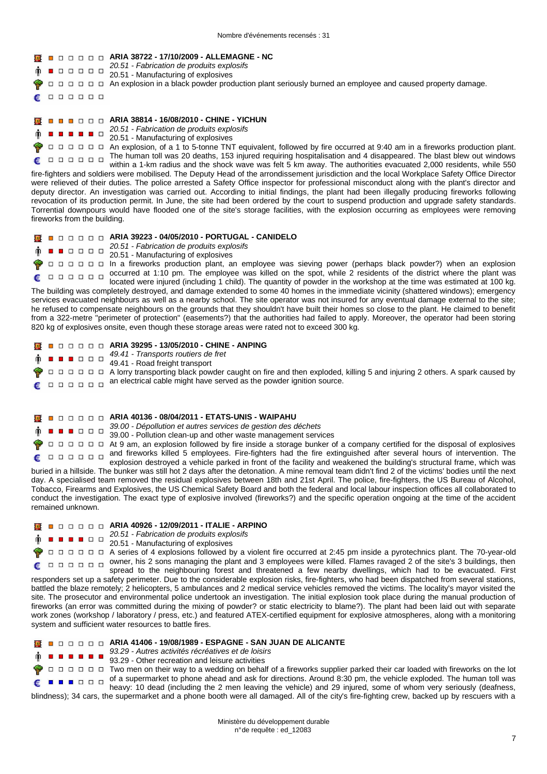#### **ARIA 38722 - 17/10/2009 - ALLEMAGNE - NC**

- 20.51 Fabrication de produits explosifs 000000
- 20.51 Manufacturing of explosives
- $\Box \Box \Box \Box \Box$ An explosion in a black powder production plant seriously burned an employee and caused property damage.
- $\begin{array}{cccccccccccccc} \Box & \Box & \Box & \Box & \Box & \Box & \Box \end{array}$ £

€

Ŵ.

**ARIA 38814 - 16/08/2010 - CHINE - YICHUN** 

- 20.51 Fabrication de produits explosifs . . . . . .
	- 20.51 Manufacturing of explosives

 $\Box$   $\Box$   $\Box$   $\Box$  An explosion, of a 1 to 5-tonne TNT equivalent, followed by fire occurred at 9:40 am in a fireworks production plant. The human toll was 20 deaths, 153 injured requiring hospitalisation and 4 disappeared. The blast blew out windows £ within a 1-km radius and the shock wave was felt 5 km away. The authorities evacuated 2,000 residents, while 550 fire-fighters and soldiers were mobilised. The Deputy Head of the arrondissement jurisdiction and the local Workplace Safety Office Director were relieved of their duties. The police arrested a Safety Office inspector for professional misconduct along with the plant's director and deputy director. An investigation was carried out. According to initial findings, the plant had been illegally producing fireworks following revocation of its production permit. In June, the site had been ordered by the court to suspend production and upgrade safety standards. Torrential downpours would have flooded one of the site's storage facilities, with the explosion occurring as employees were removing fireworks from the building.

#### **ARIA 39223 - 04/05/2010 - PORTUGAL - CANIDELO**

- $20.51 Fabrication$  de produits explosifs
	- 20.51 Manufacturing of explosives

In a fireworks production plant, an employee was sieving power (perhaps black powder?) when an explosion occurred at 1:10 pm. The employee was killed on the spot, while 2 residents of the district where the plant was  $\begin{array}{cccccccccccccc} \Box & \Box & \Box & \Box & \Box & \Box & \Box \end{array}$ located were injured (including 1 child). The quantity of powder in the workshop at the time was estimated at 100 kg.

The building was completely destroyed, and damage extended to some 40 homes in the immediate vicinity (shattered windows); emergency services evacuated neighbours as well as a nearby school. The site operator was not insured for any eventual damage external to the site; he refused to compensate neighbours on the grounds that they shouldn't have built their homes so close to the plant. He claimed to benefit from a 322-metre "perimeter of protection" (easements?) that the authorities had failed to apply. Moreover, the operator had been storing 820 kg of explosives onsite, even though these storage areas were rated not to exceed 300 kg.

- **ARIA 39295 13/05/2010 CHINE ANPING** 49.41 - Transports routiers de fret  $\begin{array}{c|c|c|c|c} \hline \textbf{a} & \textbf{b} & \textbf{c} & \textbf{c} \\ \hline \end{array}$ 49.41 - Road freight transport 000000 A lorry transporting black powder caught on fire and then exploded, killing 5 and injuring 2 others. A spark caused by an electrical cable might have served as the powder ignition source.  $\begin{array}{cccccccccccccc} \Box & \Box & \Box & \Box & \Box & \Box & \Box \end{array}$ €
	- **ARIA 40136 08/04/2011 ETATS-UNIS WAIPAHU**

39.00 - Dépollution et autres services de gestion des déchets  $\begin{array}{c|c|c|c|c} \hline \textbf{a} & \textbf{b} & \textbf{c} & \textbf{c} \\ \hline \end{array}$ 

39.00 - Pollution clean-up and other waste management services

At 9 am, an explosion followed by fire inside a storage bunker of a company certified for the disposal of explosives and fireworks killed 5 employees. Fire-fighters had the fire extinguished after several hours of intervention. The

€ explosion destroyed a vehicle parked in front of the facility and weakened the building's structural frame, which was buried in a hillside. The bunker was still hot 2 days after the detonation. A mine removal team didn't find 2 of the victims' bodies until the next day. A specialised team removed the residual explosives between 18th and 21st April. The police, fire-fighters, the US Bureau of Alcohol, Tobacco, Firearms and Explosives, the US Chemical Safety Board and both the federal and local labour inspection offices all collaborated to conduct the investigation. The exact type of explosive involved (fireworks?) and the specific operation ongoing at the time of the accident remained unknown.

**ARIA 40926 - 12/09/2011 - ITALIE - ARPINO** 

- 20.51 Fabrication de produits explosifs .....
- 20.51 Manufacturing of explosives

A series of 4 explosions followed by a violent fire occurred at 2:45 pm inside a pyrotechnics plant. The 70-year-old owner, his 2 sons managing the plant and 3 employees were killed. Flames ravaged 2 of the site's 3 buildings, then 000000 spread to the neighbouring forest and threatened a few nearby dwellings, which had to be evacuated. First

responders set up a safety perimeter. Due to the considerable explosion risks, fire-fighters, who had been dispatched from several stations, battled the blaze remotely; 2 helicopters, 5 ambulances and 2 medical service vehicles removed the victims. The locality's mayor visited the site. The prosecutor and environmental police undertook an investigation. The initial explosion took place during the manual production of fireworks (an error was committed during the mixing of powder? or static electricity to blame?). The plant had been laid out with separate work zones (workshop / laboratory / press, etc.) and featured ATEX-certified equipment for explosive atmospheres, along with a monitoring system and sufficient water resources to battle fires.

#### **ARIA 41406 - 19/08/1989 - ESPAGNE - SAN JUAN DE ALICANTE**

- 93.29 Autres activités récréatives et de loisirs
- 93.29 Other recreation and leisure activities

Two men on their way to a wedding on behalf of a fireworks supplier parked their car loaded with fireworks on the lot of a supermarket to phone ahead and ask for directions. Around 8:30 pm, the vehicle exploded. The human toll was  $\blacksquare$  $\blacksquare$  $\blacksquare$  $\blacksquare$  $\blacksquare$  $\blacksquare$  $\blacksquare$  $\blacksquare$ heavy: 10 dead (including the 2 men leaving the vehicle) and 29 injured, some of whom very seriously (deafness, blindness); 34 cars, the supermarket and a phone booth were all damaged. All of the city's fire-fighting crew, backed up by rescuers with a

> Ministère du développement durable n° de requête : ed\_12083